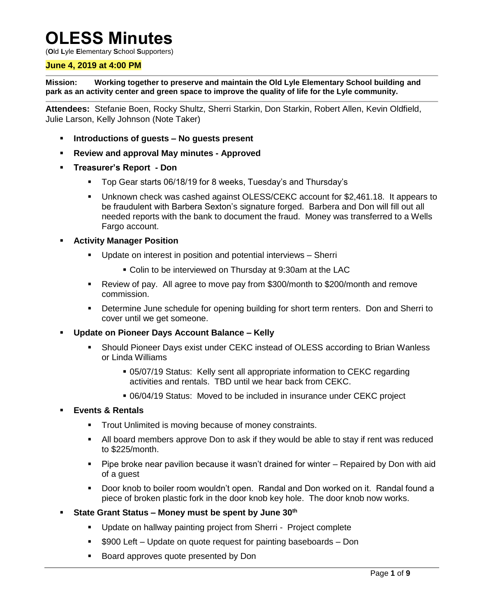# **OLESS Minutes**

(**O**ld **L**yle **E**lementary **S**chool **S**upporters)

#### **June 4, 2019 at 4:00 PM**

**Mission: Working together to preserve and maintain the Old Lyle Elementary School building and park as an activity center and green space to improve the quality of life for the Lyle community.**

**Attendees:** Stefanie Boen, Rocky Shultz, Sherri Starkin, Don Starkin, Robert Allen, Kevin Oldfield, Julie Larson, Kelly Johnson (Note Taker)

- **Introductions of guests – No guests present**
- **Review and approval May minutes - Approved**
- **Treasurer's Report - Don**
	- Top Gear starts 06/18/19 for 8 weeks, Tuesday's and Thursday's
	- Unknown check was cashed against OLESS/CEKC account for \$2,461.18. It appears to be fraudulent with Barbera Sexton's signature forged. Barbera and Don will fill out all needed reports with the bank to document the fraud. Money was transferred to a Wells Fargo account.
- **Activity Manager Position**
	- Update on interest in position and potential interviews Sherri
		- Colin to be interviewed on Thursday at 9:30am at the LAC
	- Review of pay. All agree to move pay from \$300/month to \$200/month and remove commission.
	- Determine June schedule for opening building for short term renters. Don and Sherri to cover until we get someone.
- **Update on Pioneer Days Account Balance – Kelly**
	- Should Pioneer Days exist under CEKC instead of OLESS according to Brian Wanless or Linda Williams
		- 05/07/19 Status: Kelly sent all appropriate information to CEKC regarding activities and rentals. TBD until we hear back from CEKC.
		- 06/04/19 Status: Moved to be included in insurance under CEKC project

#### **Events & Rentals**

- Trout Unlimited is moving because of money constraints.
- All board members approve Don to ask if they would be able to stay if rent was reduced to \$225/month.
- Pipe broke near pavilion because it wasn't drained for winter Repaired by Don with aid of a guest
- Door knob to boiler room wouldn't open. Randal and Don worked on it. Randal found a piece of broken plastic fork in the door knob key hole. The door knob now works.
- **State Grant Status – Money must be spent by June 30th**
	- Update on hallway painting project from Sherri Project complete
	- \$900 Left Update on quote request for painting baseboards Don
	- Board approves quote presented by Don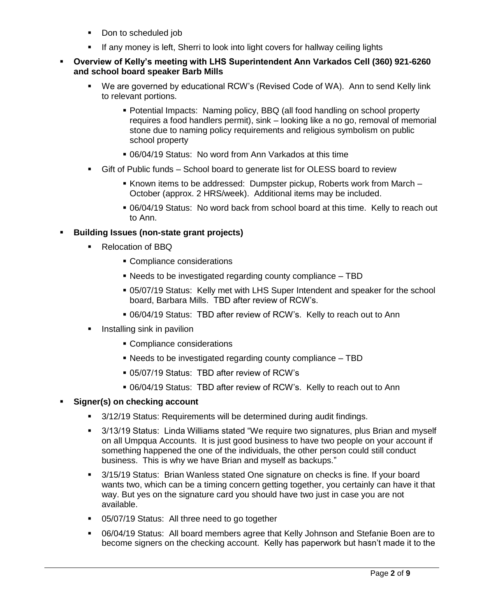- Don to scheduled job
- If any money is left, Sherri to look into light covers for hallway ceiling lights
- **Overview of Kelly's meeting with LHS Superintendent Ann Varkados Cell (360) 921-6260 and school board speaker Barb Mills**
	- We are governed by educational RCW's (Revised Code of WA). Ann to send Kelly link to relevant portions.
		- Potential Impacts: Naming policy, BBQ (all food handling on school property requires a food handlers permit), sink – looking like a no go, removal of memorial stone due to naming policy requirements and religious symbolism on public school property
		- 06/04/19 Status: No word from Ann Varkados at this time
	- Gift of Public funds School board to generate list for OLESS board to review
		- Known items to be addressed: Dumpster pickup, Roberts work from March -October (approx. 2 HRS/week). Additional items may be included.
		- 06/04/19 Status: No word back from school board at this time. Kelly to reach out to Ann.

# **Building Issues (non-state grant projects)**

- Relocation of BBQ
	- Compliance considerations
	- Needs to be investigated regarding county compliance TBD
	- 05/07/19 Status: Kelly met with LHS Super Intendent and speaker for the school board, Barbara Mills. TBD after review of RCW's.
	- 06/04/19 Status: TBD after review of RCW's. Kelly to reach out to Ann
- Installing sink in pavilion
	- Compliance considerations
	- Needs to be investigated regarding county compliance TBD
	- 05/07/19 Status: TBD after review of RCW's
	- 06/04/19 Status: TBD after review of RCW's. Kelly to reach out to Ann

## **Signer(s) on checking account**

- 3/12/19 Status: Requirements will be determined during audit findings.
- 3/13/19 Status: Linda Williams stated "We require two signatures, plus Brian and myself on all Umpqua Accounts. It is just good business to have two people on your account if something happened the one of the individuals, the other person could still conduct business. This is why we have Brian and myself as backups."
- 3/15/19 Status: Brian Wanless stated One signature on checks is fine. If your board wants two, which can be a timing concern getting together, you certainly can have it that way. But yes on the signature card you should have two just in case you are not available.
- **05/07/19 Status: All three need to go together**
- 06/04/19 Status: All board members agree that Kelly Johnson and Stefanie Boen are to become signers on the checking account. Kelly has paperwork but hasn't made it to the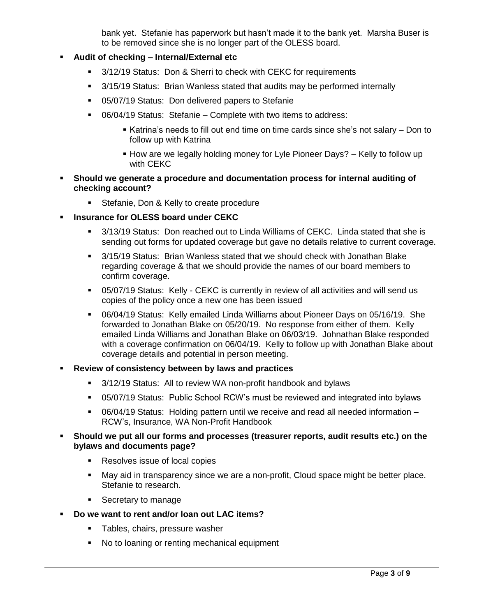bank yet. Stefanie has paperwork but hasn't made it to the bank yet. Marsha Buser is to be removed since she is no longer part of the OLESS board.

# **Audit of checking – Internal/External etc**

- 3/12/19 Status: Don & Sherri to check with CEKC for requirements
- 3/15/19 Status: Brian Wanless stated that audits may be performed internally
- 05/07/19 Status: Don delivered papers to Stefanie
- 06/04/19 Status: Stefanie Complete with two items to address:
	- Katrina's needs to fill out end time on time cards since she's not salary Don to follow up with Katrina
	- **How are we legally holding money for Lyle Pioneer Days? Kelly to follow up** with CEKC
- **Should we generate a procedure and documentation process for internal auditing of checking account?**
	- **Stefanie, Don & Kelly to create procedure**
- **Insurance for OLESS board under CEKC**
	- 3/13/19 Status: Don reached out to Linda Williams of CEKC. Linda stated that she is sending out forms for updated coverage but gave no details relative to current coverage.
	- 3/15/19 Status: Brian Wanless stated that we should check with Jonathan Blake regarding coverage & that we should provide the names of our board members to confirm coverage.
	- 05/07/19 Status: Kelly CEKC is currently in review of all activities and will send us copies of the policy once a new one has been issued
	- 06/04/19 Status: Kelly emailed Linda Williams about Pioneer Days on 05/16/19. She forwarded to Jonathan Blake on 05/20/19. No response from either of them. Kelly emailed Linda Williams and Jonathan Blake on 06/03/19. Johnathan Blake responded with a coverage confirmation on 06/04/19. Kelly to follow up with Jonathan Blake about coverage details and potential in person meeting.
- **Review of consistency between by laws and practices**
	- <sup>3</sup>/12/19 Status: All to review WA non-profit handbook and bylaws
	- 05/07/19 Status: Public School RCW's must be reviewed and integrated into bylaws
	- 06/04/19 Status: Holding pattern until we receive and read all needed information RCW's, Insurance, WA Non-Profit Handbook

## **Should we put all our forms and processes (treasurer reports, audit results etc.) on the bylaws and documents page?**

- Resolves issue of local copies
- May aid in transparency since we are a non-profit, Cloud space might be better place. Stefanie to research.
- Secretary to manage
- **Do we want to rent and/or loan out LAC items?**
	- **Tables, chairs, pressure washer**
	- No to loaning or renting mechanical equipment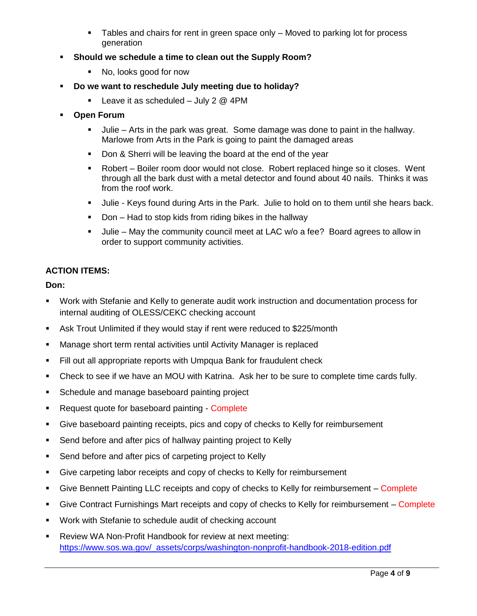- Tables and chairs for rent in green space only Moved to parking lot for process generation
- **Should we schedule a time to clean out the Supply Room?**
	- No, looks good for now
- **Do we want to reschedule July meeting due to holiday?**
	- **Leave it as scheduled July 2**  $@$  **4PM**
- **Open Forum** 
	- Julie Arts in the park was great. Some damage was done to paint in the hallway. Marlowe from Arts in the Park is going to paint the damaged areas
	- Don & Sherri will be leaving the board at the end of the year
	- Robert Boiler room door would not close. Robert replaced hinge so it closes. Went through all the bark dust with a metal detector and found about 40 nails. Thinks it was from the roof work.
	- Julie Keys found during Arts in the Park. Julie to hold on to them until she hears back.
	- Don Had to stop kids from riding bikes in the hallway
	- Julie May the community council meet at LAC w/o a fee? Board agrees to allow in order to support community activities.

# **ACTION ITEMS:**

## **Don:**

- Work with Stefanie and Kelly to generate audit work instruction and documentation process for internal auditing of OLESS/CEKC checking account
- Ask Trout Unlimited if they would stay if rent were reduced to \$225/month
- Manage short term rental activities until Activity Manager is replaced
- Fill out all appropriate reports with Umpqua Bank for fraudulent check
- Check to see if we have an MOU with Katrina. Ask her to be sure to complete time cards fully.
- **Schedule and manage baseboard painting project**
- Request quote for baseboard painting Complete
- Give baseboard painting receipts, pics and copy of checks to Kelly for reimbursement
- **Send before and after pics of hallway painting project to Kelly**
- **Send before and after pics of carpeting project to Kelly**
- Give carpeting labor receipts and copy of checks to Kelly for reimbursement
- Give Bennett Painting LLC receipts and copy of checks to Kelly for reimbursement Complete
- Give Contract Furnishings Mart receipts and copy of checks to Kelly for reimbursement Complete
- **Work with Stefanie to schedule audit of checking account**
- Review WA Non-Profit Handbook for review at next meeting: [https://www.sos.wa.gov/\\_assets/corps/washington-nonprofit-handbook-2018-edition.pdf](https://www.sos.wa.gov/_assets/corps/washington-nonprofit-handbook-2018-edition.pdf)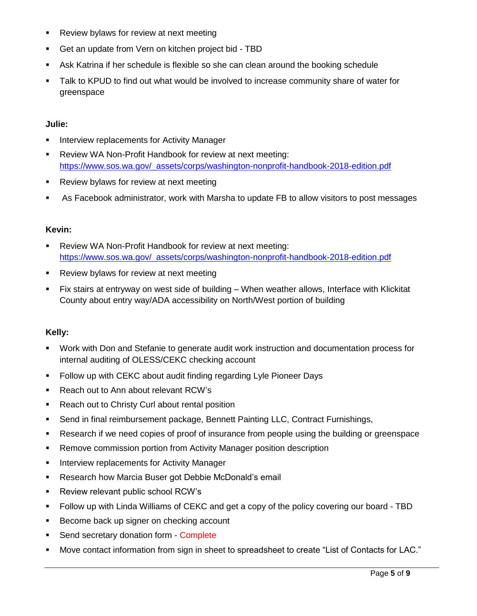- **Review bylaws for review at next meeting**
- Get an update from Vern on kitchen project bid TBD
- Ask Katrina if her schedule is flexible so she can clean around the booking schedule
- **Talk to KPUD to find out what would be involved to increase community share of water for** greenspace

# **Julie:**

- **Interview replacements for Activity Manager**
- Review WA Non-Profit Handbook for review at next meeting: [https://www.sos.wa.gov/\\_assets/corps/washington-nonprofit-handbook-2018-edition.pdf](https://www.sos.wa.gov/_assets/corps/washington-nonprofit-handbook-2018-edition.pdf)
- **Review bylaws for review at next meeting**
- As Facebook administrator, work with Marsha to update FB to allow visitors to post messages

#### **Kevin:**

- **Review WA Non-Profit Handbook for review at next meeting:** [https://www.sos.wa.gov/\\_assets/corps/washington-nonprofit-handbook-2018-edition.pdf](https://www.sos.wa.gov/_assets/corps/washington-nonprofit-handbook-2018-edition.pdf)
- **Review bylaws for review at next meeting**
- Fix stairs at entryway on west side of building When weather allows, Interface with Klickitat County about entry way/ADA accessibility on North/West portion of building

## **Kelly:**

- Work with Don and Stefanie to generate audit work instruction and documentation process for internal auditing of OLESS/CEKC checking account
- **Follow up with CEKC about audit finding regarding Lyle Pioneer Days**
- **Reach out to Ann about relevant RCW's**
- Reach out to Christy Curl about rental position
- Send in final reimbursement package, Bennett Painting LLC, Contract Furnishings,
- Research if we need copies of proof of insurance from people using the building or greenspace
- **Remove commission portion from Activity Manager position description**
- **Interview replacements for Activity Manager**
- **Research how Marcia Buser got Debbie McDonald's email**
- Review relevant public school RCW's
- Follow up with Linda Williams of CEKC and get a copy of the policy covering our board TBD
- Become back up signer on checking account
- Send secretary donation form Complete
- Move contact information from sign in sheet to spreadsheet to create "List of Contacts for LAC."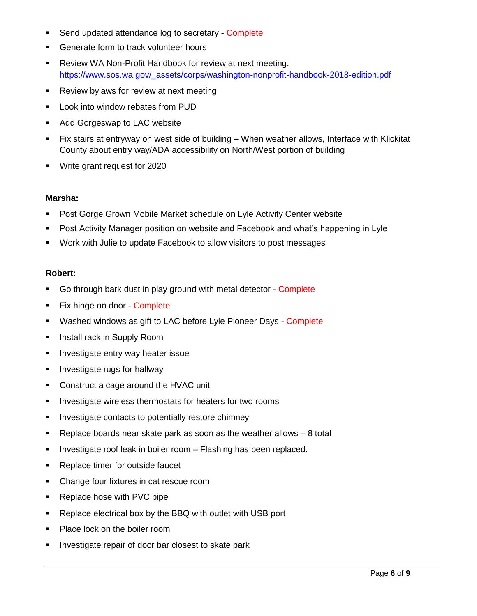- Send updated attendance log to secretary Complete
- **Generate form to track volunteer hours**
- **-** Review WA Non-Profit Handbook for review at next meeting: [https://www.sos.wa.gov/\\_assets/corps/washington-nonprofit-handbook-2018-edition.pdf](https://www.sos.wa.gov/_assets/corps/washington-nonprofit-handbook-2018-edition.pdf)
- **Review bylaws for review at next meeting**
- **Look into window rebates from PUD**
- **Add Gorgeswap to LAC website**
- Fix stairs at entryway on west side of building When weather allows, Interface with Klickitat County about entry way/ADA accessibility on North/West portion of building
- Write grant request for 2020

#### **Marsha:**

- **Post Gorge Grown Mobile Market schedule on Lyle Activity Center website**
- Post Activity Manager position on website and Facebook and what's happening in Lyle
- Work with Julie to update Facebook to allow visitors to post messages

#### **Robert:**

- Go through bark dust in play ground with metal detector Complete
- Fix hinge on door Complete
- **Washed windows as gift to LAC before Lyle Pioneer Days Complete**
- **Install rack in Supply Room**
- **Investigate entry way heater issue**
- **Investigate rugs for hallway**
- Construct a cage around the HVAC unit
- **Investigate wireless thermostats for heaters for two rooms**
- **Investigate contacts to potentially restore chimney**
- **Parage 2** Replace boards near skate park as soon as the weather allows  $-8$  total
- **Investigate roof leak in boiler room Flashing has been replaced.**
- Replace timer for outside faucet
- Change four fixtures in cat rescue room
- Replace hose with PVC pipe
- **Replace electrical box by the BBQ with outlet with USB port**
- Place lock on the boiler room
- Investigate repair of door bar closest to skate park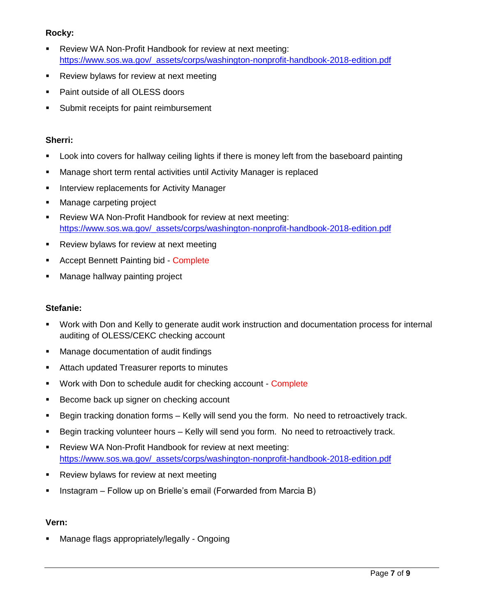# **Rocky:**

- Review WA Non-Profit Handbook for review at next meeting: [https://www.sos.wa.gov/\\_assets/corps/washington-nonprofit-handbook-2018-edition.pdf](https://www.sos.wa.gov/_assets/corps/washington-nonprofit-handbook-2018-edition.pdf)
- **Review bylaws for review at next meeting**
- Paint outside of all OLESS doors
- **Submit receipts for paint reimbursement**

## **Sherri:**

- Look into covers for hallway ceiling lights if there is money left from the baseboard painting
- Manage short term rental activities until Activity Manager is replaced
- **Interview replacements for Activity Manager**
- Manage carpeting project
- Review WA Non-Profit Handbook for review at next meeting: [https://www.sos.wa.gov/\\_assets/corps/washington-nonprofit-handbook-2018-edition.pdf](https://www.sos.wa.gov/_assets/corps/washington-nonprofit-handbook-2018-edition.pdf)
- **Review bylaws for review at next meeting**
- **Accept Bennett Painting bid Complete**
- **Manage hallway painting project**

## **Stefanie:**

- Work with Don and Kelly to generate audit work instruction and documentation process for internal auditing of OLESS/CEKC checking account
- **Manage documentation of audit findings**
- **EXTER** Attach updated Treasurer reports to minutes
- **Work with Don to schedule audit for checking account Complete**
- Become back up signer on checking account
- Begin tracking donation forms Kelly will send you the form. No need to retroactively track.
- Begin tracking volunteer hours Kelly will send you form. No need to retroactively track.
- Review WA Non-Profit Handbook for review at next meeting: [https://www.sos.wa.gov/\\_assets/corps/washington-nonprofit-handbook-2018-edition.pdf](https://www.sos.wa.gov/_assets/corps/washington-nonprofit-handbook-2018-edition.pdf)
- **Review bylaws for review at next meeting**
- Instagram Follow up on Brielle's email (Forwarded from Marcia B)

#### **Vern:**

Manage flags appropriately/legally - Ongoing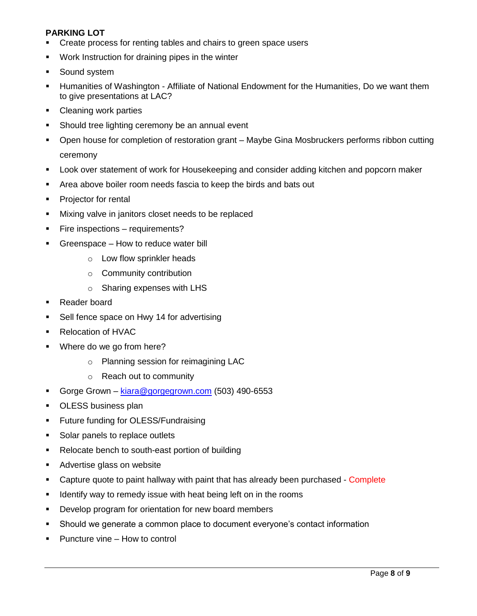# **PARKING LOT**

- Create process for renting tables and chairs to green space users
- **Work Instruction for draining pipes in the winter**
- **Sound system**
- Humanities of Washington Affiliate of National Endowment for the Humanities, Do we want them to give presentations at LAC?
- **Cleaning work parties**
- **Should tree lighting ceremony be an annual event**
- Open house for completion of restoration grant Maybe Gina Mosbruckers performs ribbon cutting ceremony
- Look over statement of work for Housekeeping and consider adding kitchen and popcorn maker
- Area above boiler room needs fascia to keep the birds and bats out
- Projector for rental
- **Mixing valve in janitors closet needs to be replaced**
- **Fire inspections requirements?**
- Greenspace How to reduce water bill
	- o Low flow sprinkler heads
	- o Community contribution
	- o Sharing expenses with LHS
- Reader board
- Sell fence space on Hwy 14 for advertising
- Relocation of HVAC
- **Where do we go from here?** 
	- o Planning session for reimagining LAC
	- o Reach out to community
- Gorge Grown [kiara@gorgegrown.com](mailto:kiara@gorgegrown.com) (503) 490-6553
- **OLESS business plan**
- **Future funding for OLESS/Fundraising**
- Solar panels to replace outlets
- Relocate bench to south-east portion of building
- **Advertise glass on website**
- Capture quote to paint hallway with paint that has already been purchased Complete
- I dentify way to remedy issue with heat being left on in the rooms
- **Develop program for orientation for new board members**
- Should we generate a common place to document everyone's contact information
- **Puncture vine How to control**